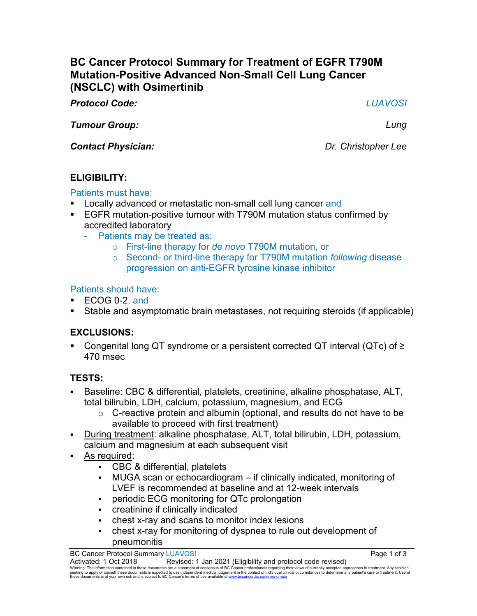# **BC Cancer Protocol Summary for Treatment of EGFR T790M Mutation-Positive Advanced Non-Small Cell Lung Cancer (NSCLC) with Osimertinib**

*Protocol Code: LUAVOSI*

*Tumour Group: Lung*

*Contact Physician: Dr. Christopher Lee*

# **ELIGIBILITY:**

### Patients must have:

- Locally advanced or metastatic non-small cell lung cancer and
- EGFR mutation-positive tumour with T790M mutation status confirmed by accredited laboratory
	- Patients may be treated as:
		- o First-line therapy for *de novo* T790M mutation, or
		- o Second- or third-line therapy for T790M mutation *following* disease progression on anti-EGFR tyrosine kinase inhibitor

## Patients should have:

- ECOG 0-2, and
- Stable and asymptomatic brain metastases, not requiring steroids (if applicable)

# **EXCLUSIONS:**

■ Congenital long QT syndrome or a persistent corrected QT interval (QTc) of  $\ge$ 470 msec

## **TESTS:**

- Baseline: CBC & differential, platelets, creatinine, alkaline phosphatase, ALT, total bilirubin, LDH, calcium, potassium, magnesium, and ECG
	- $\circ$  C-reactive protein and albumin (optional, and results do not have to be available to proceed with first treatment)
- During treatment: alkaline phosphatase, ALT, total bilirubin, LDH, potassium, calcium and magnesium at each subsequent visit
- As required:
	- CBC & differential, platelets
	- MUGA scan or echocardiogram if clinically indicated, monitoring of LVEF is recommended at baseline and at 12-week intervals
	- periodic ECG monitoring for QTc prolongation
	- creatinine if clinically indicated
	- chest x-ray and scans to monitor index lesions
	- chest x-ray for monitoring of dyspnea to rule out development of pneumonitis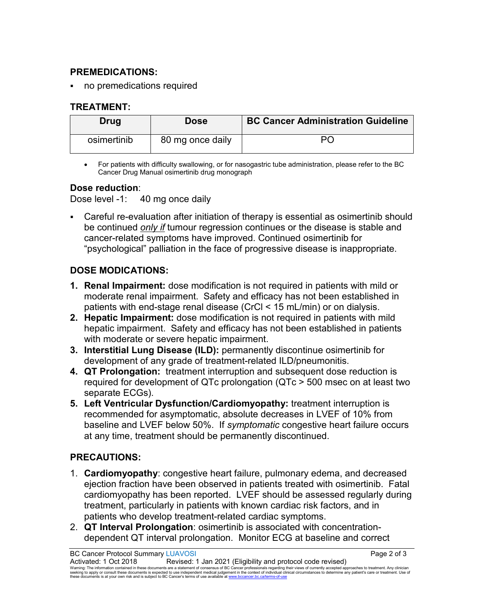#### **PREMEDICATIONS:**

no premedications required

#### **TREATMENT:**

| Drug        | <b>Dose</b>      | <b>BC Cancer Administration Guideline</b> |
|-------------|------------------|-------------------------------------------|
| osimertinib | 80 mg once daily |                                           |

• For patients with difficulty swallowing, or for nasogastric tube administration, please refer to the BC Cancer Drug Manual osimertinib drug monograph

### **Dose reduction**:

Dose level -1: 40 mg once daily

 Careful re-evaluation after initiation of therapy is essential as osimertinib should be continued *only if* tumour regression continues or the disease is stable and cancer-related symptoms have improved. Continued osimertinib for "psychological" palliation in the face of progressive disease is inappropriate.

### **DOSE MODICATIONS:**

- **1. Renal Impairment:** dose modification is not required in patients with mild or moderate renal impairment. Safety and efficacy has not been established in patients with end-stage renal disease (CrCl < 15 mL/min) or on dialysis.
- **2. Hepatic Impairment:** dose modification is not required in patients with mild hepatic impairment. Safety and efficacy has not been established in patients with moderate or severe hepatic impairment.
- **3. Interstitial Lung Disease (ILD):** permanently discontinue osimertinib for development of any grade of treatment-related ILD/pneumonitis.
- **4. QT Prolongation:** treatment interruption and subsequent dose reduction is required for development of QTc prolongation (QTc > 500 msec on at least two separate ECGs).
- **5. Left Ventricular Dysfunction/Cardiomyopathy:** treatment interruption is recommended for asymptomatic, absolute decreases in LVEF of 10% from baseline and LVEF below 50%. If *symptomatic* congestive heart failure occurs at any time, treatment should be permanently discontinued.

## **PRECAUTIONS:**

- 1. **Cardiomyopathy**: congestive heart failure, pulmonary edema, and decreased ejection fraction have been observed in patients treated with osimertinib. Fatal cardiomyopathy has been reported. LVEF should be assessed regularly during treatment, particularly in patients with known cardiac risk factors, and in patients who develop treatment-related cardiac symptoms.
- 2. **QT Interval Prolongation**: osimertinib is associated with concentrationdependent QT interval prolongation. Monitor ECG at baseline and correct